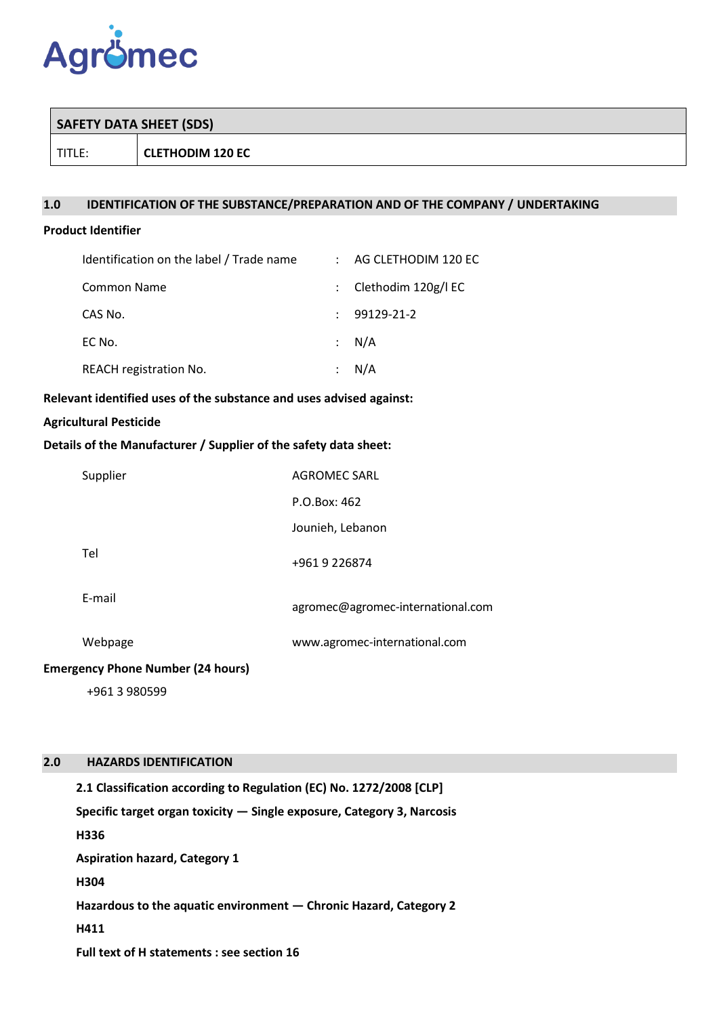

| TITLE:<br><b>CLETHODIM 120 EC</b> |  |
|-----------------------------------|--|

# **1.0 IDENTIFICATION OF THE SUBSTANCE/PREPARATION AND OF THE COMPANY / UNDERTAKING**

# **Product Identifier**

| Identification on the label / Trade name |                      | : AG CLETHODIM 120 EC   |
|------------------------------------------|----------------------|-------------------------|
| <b>Common Name</b>                       |                      | : Clethodim $120g/l$ EC |
| CAS No.                                  |                      | 99129-21-2              |
| EC No.                                   |                      | $\therefore$ N/A        |
| REACH registration No.                   | $\ddot{\phantom{a}}$ | N/A                     |

## **Relevant identified uses of the substance and uses advised against:**

## **Agricultural Pesticide**

## **Details of the Manufacturer / Supplier of the safety data sheet:**

| Supplier                                 | <b>AGROMEC SARL</b>               |
|------------------------------------------|-----------------------------------|
|                                          | P.O.Box: 462                      |
|                                          | Jounieh, Lebanon                  |
| Tel                                      | +961 9 226874                     |
| E-mail                                   | agromec@agromec-international.com |
| Webpage                                  | www.agromec-international.com     |
| <b>Emergency Phone Number (24 hours)</b> |                                   |
| +961 3 980599                            |                                   |

### **2.0 HAZARDS IDENTIFICATION**

**2.1 Classification according to Regulation (EC) No. 1272/2008 [CLP] Specific target organ toxicity — Single exposure, Category 3, Narcosis H336 Aspiration hazard, Category 1 H304 Hazardous to the aquatic environment — Chronic Hazard, Category 2 H411 Full text of H statements : see section 16**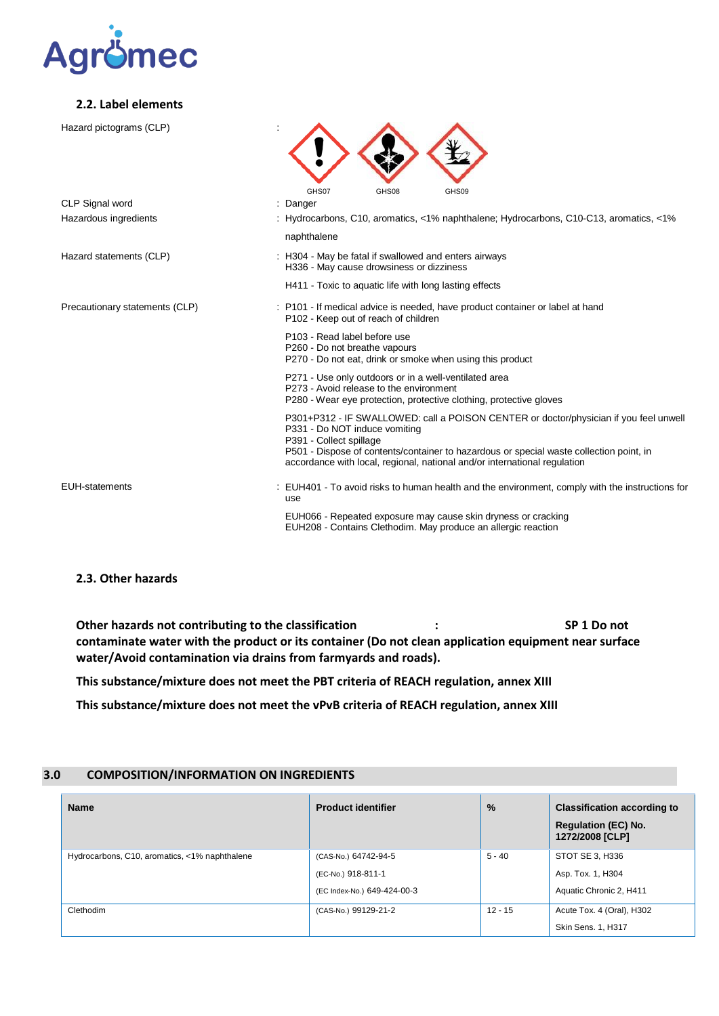

#### **2.2. Label elements**

| Hazard pictograms (CLP)        |                                                                                                                                                                                                                                                                                                                           |
|--------------------------------|---------------------------------------------------------------------------------------------------------------------------------------------------------------------------------------------------------------------------------------------------------------------------------------------------------------------------|
| CLP Signal word                | GHS07<br>GHS08<br>GHS09<br>: Danger                                                                                                                                                                                                                                                                                       |
| Hazardous ingredients          | : Hydrocarbons, C10, aromatics, <1% naphthalene; Hydrocarbons, C10-C13, aromatics, <1%                                                                                                                                                                                                                                    |
|                                | naphthalene                                                                                                                                                                                                                                                                                                               |
| Hazard statements (CLP)        | : H304 - May be fatal if swallowed and enters airways<br>H336 - May cause drowsiness or dizziness                                                                                                                                                                                                                         |
|                                | H411 - Toxic to aquatic life with long lasting effects                                                                                                                                                                                                                                                                    |
| Precautionary statements (CLP) | : P101 - If medical advice is needed, have product container or label at hand<br>P102 - Keep out of reach of children                                                                                                                                                                                                     |
|                                | P103 - Read label before use<br>P260 - Do not breathe vapours<br>P270 - Do not eat, drink or smoke when using this product                                                                                                                                                                                                |
|                                | P271 - Use only outdoors or in a well-ventilated area<br>P273 - Avoid release to the environment<br>P280 - Wear eye protection, protective clothing, protective gloves                                                                                                                                                    |
|                                | P301+P312 - IF SWALLOWED: call a POISON CENTER or doctor/physician if you feel unwell<br>P331 - Do NOT induce vomiting<br>P391 - Collect spillage<br>P501 - Dispose of contents/container to hazardous or special waste collection point, in<br>accordance with local, regional, national and/or international regulation |
| <b>EUH-statements</b>          | : EUH401 - To avoid risks to human health and the environment, comply with the instructions for<br>use                                                                                                                                                                                                                    |
|                                | EUH066 - Repeated exposure may cause skin dryness or cracking<br>EUH208 - Contains Clethodim. May produce an allergic reaction                                                                                                                                                                                            |
|                                |                                                                                                                                                                                                                                                                                                                           |

# **2.3. Other hazards**

**Other hazards not contributing to the classification : SP 1 Do not contaminate water with the product or its container (Do not clean application equipment near surface water/Avoid contamination via drains from farmyards and roads).**

**This substance/mixture does not meet the PBT criteria of REACH regulation, annex XIII**

**This substance/mixture does not meet the vPvB criteria of REACH regulation, annex XIII**

### **3.0 COMPOSITION/INFORMATION ON INGREDIENTS**

| <b>Name</b>                                   | <b>Product identifier</b>                                                 | $\%$      | <b>Classification according to</b><br><b>Regulation (EC) No.</b><br>1272/2008 [CLP] |
|-----------------------------------------------|---------------------------------------------------------------------------|-----------|-------------------------------------------------------------------------------------|
| Hydrocarbons, C10, aromatics, <1% naphthalene | (CAS-No.) 64742-94-5<br>(EC-No.) 918-811-1<br>(EC Index-No.) 649-424-00-3 | $5 - 40$  | STOT SE 3, H336<br>Asp. Tox. 1, H304<br>Aquatic Chronic 2, H411                     |
| Clethodim                                     | (CAS-No.) 99129-21-2                                                      | $12 - 15$ | Acute Tox. 4 (Oral), H302<br>Skin Sens. 1, H317                                     |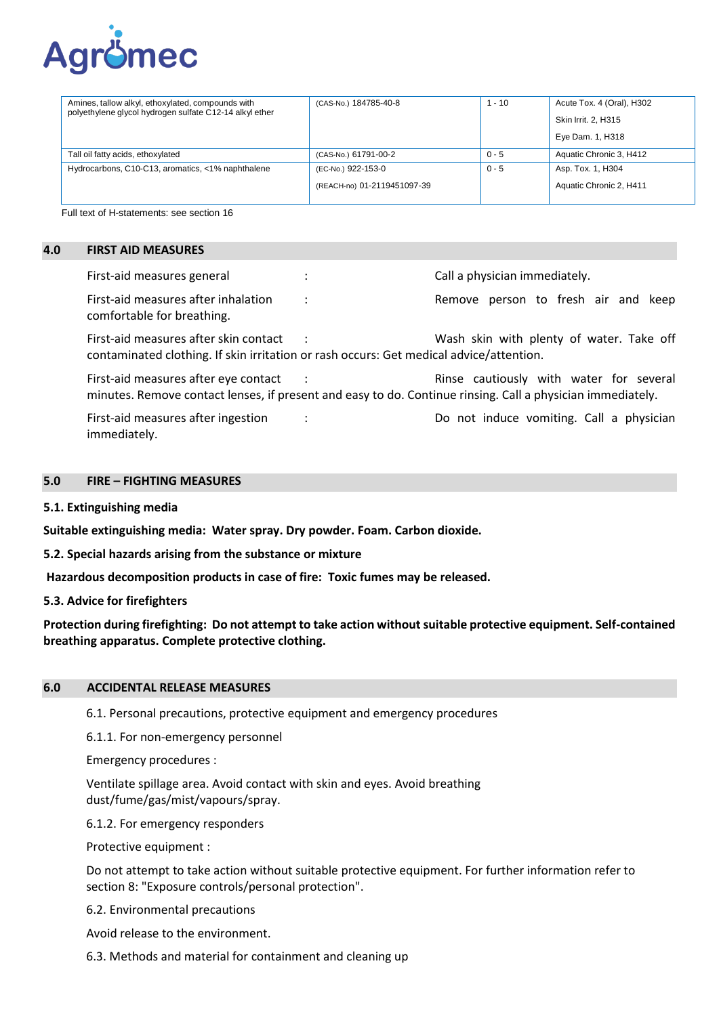

| Amines, tallow alkyl, ethoxylated, compounds with<br>polyethylene glycol hydrogen sulfate C12-14 alkyl ether | (CAS-No.) 184785-40-8                             | $1 - 10$ | Acute Tox. 4 (Oral), H302                    |
|--------------------------------------------------------------------------------------------------------------|---------------------------------------------------|----------|----------------------------------------------|
|                                                                                                              |                                                   |          | Skin Irrit. 2, H315                          |
|                                                                                                              |                                                   |          | Eye Dam. 1, H318                             |
| Tall oil fatty acids, ethoxylated                                                                            | (CAS-No.) 61791-00-2                              | $0 - 5$  | Aquatic Chronic 3, H412                      |
| Hydrocarbons, C10-C13, aromatics, <1% naphthalene                                                            | (EC-No.) 922-153-0<br>(REACH-no) 01-2119451097-39 | $0 - 5$  | Asp. Tox. 1, H304<br>Aquatic Chronic 2, H411 |
|                                                                                                              |                                                   |          |                                              |

Full text of H-statements: see section 16

### **4.0 FIRST AID MEASURES**

| First-aid measures general                                                                                                       |   | Call a physician immediately.                                                                                                                         |
|----------------------------------------------------------------------------------------------------------------------------------|---|-------------------------------------------------------------------------------------------------------------------------------------------------------|
| First-aid measures after inhalation<br>comfortable for breathing.                                                                | ٠ | Remove person to fresh air and keep                                                                                                                   |
| First-aid measures after skin contact<br>contaminated clothing. If skin irritation or rash occurs: Get medical advice/attention. |   | Wash skin with plenty of water. Take off                                                                                                              |
| First-aid measures after eye contact                                                                                             |   | Rinse cautiously with water for several<br>minutes. Remove contact lenses, if present and easy to do. Continue rinsing. Call a physician immediately. |
| First-aid measures after ingestion<br>immediately.                                                                               |   | Do not induce vomiting. Call a physician                                                                                                              |

#### **5.0 FIRE – FIGHTING MEASURES**

**5.1. Extinguishing media**

**Suitable extinguishing media: Water spray. Dry powder. Foam. Carbon dioxide.**

**5.2. Special hazards arising from the substance or mixture**

**Hazardous decomposition products in case of fire: Toxic fumes may be released.**

**5.3. Advice for firefighters** 

**Protection during firefighting: Do not attempt to take action without suitable protective equipment. Self-contained breathing apparatus. Complete protective clothing.**

#### **6.0 ACCIDENTAL RELEASE MEASURES**

6.1. Personal precautions, protective equipment and emergency procedures

6.1.1. For non-emergency personnel

Emergency procedures :

Ventilate spillage area. Avoid contact with skin and eyes. Avoid breathing dust/fume/gas/mist/vapours/spray.

6.1.2. For emergency responders

Protective equipment :

Do not attempt to take action without suitable protective equipment. For further information refer to section 8: "Exposure controls/personal protection".

6.2. Environmental precautions

Avoid release to the environment.

6.3. Methods and material for containment and cleaning up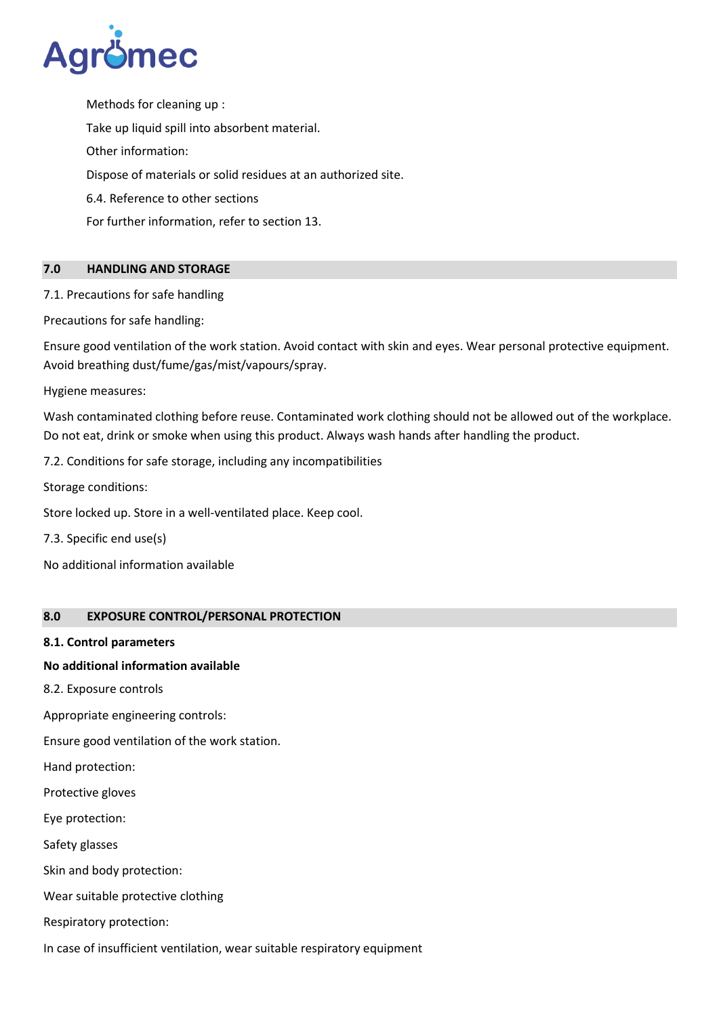

Methods for cleaning up : Take up liquid spill into absorbent material. Other information: Dispose of materials or solid residues at an authorized site. 6.4. Reference to other sections For further information, refer to section 13.

## **7.0 HANDLING AND STORAGE**

7.1. Precautions for safe handling

Precautions for safe handling:

Ensure good ventilation of the work station. Avoid contact with skin and eyes. Wear personal protective equipment. Avoid breathing dust/fume/gas/mist/vapours/spray.

Hygiene measures:

Wash contaminated clothing before reuse. Contaminated work clothing should not be allowed out of the workplace. Do not eat, drink or smoke when using this product. Always wash hands after handling the product.

7.2. Conditions for safe storage, including any incompatibilities

Storage conditions:

Store locked up. Store in a well-ventilated place. Keep cool.

7.3. Specific end use(s)

No additional information available

## **8.0 EXPOSURE CONTROL/PERSONAL PROTECTION**

## **8.1. Control parameters**

## **No additional information available**

8.2. Exposure controls

Appropriate engineering controls:

Ensure good ventilation of the work station.

Hand protection:

Protective gloves

Eye protection:

Safety glasses

Skin and body protection:

Wear suitable protective clothing

Respiratory protection:

In case of insufficient ventilation, wear suitable respiratory equipment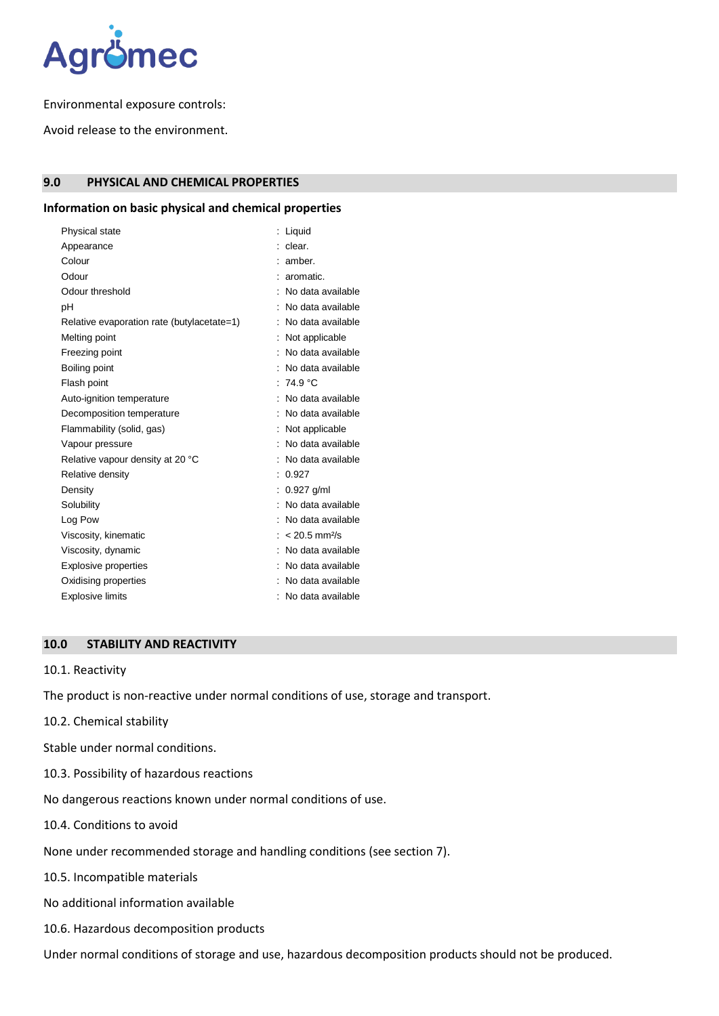

Environmental exposure controls:

Avoid release to the environment.

## **9.0 PHYSICAL AND CHEMICAL PROPERTIES**

# **Information on basic physical and chemical properties**

| Physical state                             | Liquid                        |
|--------------------------------------------|-------------------------------|
| Appearance                                 | clear.                        |
| Colour                                     | amber.                        |
| Odour                                      | aromatic.                     |
| Odour threshold                            | No data available             |
|                                            |                               |
| рH                                         | No data available             |
| Relative evaporation rate (butylacetate=1) | No data available             |
| Melting point                              | Not applicable                |
| Freezing point                             | No data available             |
| Boiling point                              | No data available             |
| Flash point                                | :74.9 °C                      |
| Auto-ignition temperature                  | No data available             |
| Decomposition temperature                  | No data available             |
| Flammability (solid, gas)                  | Not applicable                |
| Vapour pressure                            | No data available             |
| Relative vapour density at 20 °C           | No data available             |
| Relative density                           | 0.927                         |
| Density                                    | $0.927$ g/ml                  |
| Solubility                                 | : No data available           |
| Log Pow                                    | No data available             |
| Viscosity, kinematic                       | $: < 20.5$ mm <sup>2</sup> /s |
| Viscosity, dynamic                         | No data available             |
| Explosive properties                       | : No data available           |
| Oxidising properties                       | No data available             |
| <b>Explosive limits</b>                    | : No data available           |

### **10.0 STABILITY AND REACTIVITY**

#### 10.1. Reactivity

The product is non-reactive under normal conditions of use, storage and transport.

- 10.2. Chemical stability
- Stable under normal conditions.
- 10.3. Possibility of hazardous reactions

No dangerous reactions known under normal conditions of use.

- 10.4. Conditions to avoid
- None under recommended storage and handling conditions (see section 7).
- 10.5. Incompatible materials
- No additional information available
- 10.6. Hazardous decomposition products

Under normal conditions of storage and use, hazardous decomposition products should not be produced.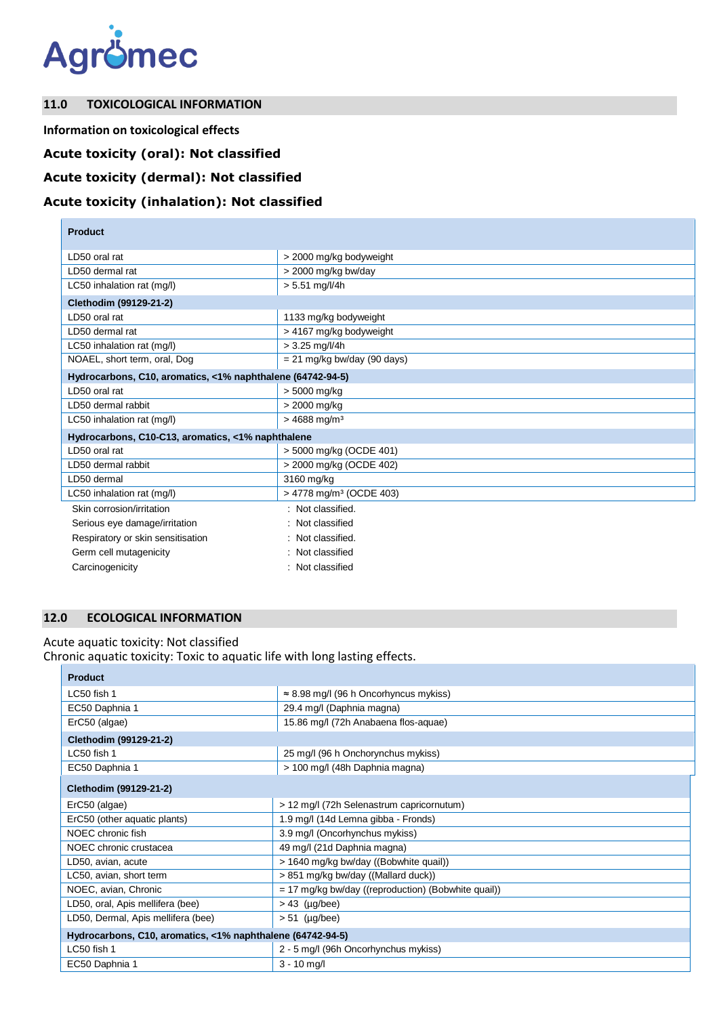

## **11.0 TOXICOLOGICAL INFORMATION**

**Information on toxicological effects**

# **Acute toxicity (oral): Not classified**

## **Acute toxicity (dermal): Not classified**

# **Acute toxicity (inhalation): Not classified**

| <b>Product</b>                                             |                                     |
|------------------------------------------------------------|-------------------------------------|
| LD50 oral rat                                              | > 2000 mg/kg bodyweight             |
| LD50 dermal rat                                            | > 2000 mg/kg bw/day                 |
| LC50 inhalation rat (mg/l)                                 | $> 5.51$ mg/l/4h                    |
| Clethodim (99129-21-2)                                     |                                     |
| LD50 oral rat                                              | 1133 mg/kg bodyweight               |
| LD50 dermal rat                                            | > 4167 mg/kg bodyweight             |
| LC50 inhalation rat (mg/l)                                 | $> 3.25$ mg/l/4h                    |
| NOAEL, short term, oral, Dog                               | $= 21$ mg/kg bw/day (90 days)       |
| Hydrocarbons, C10, aromatics, <1% naphthalene (64742-94-5) |                                     |
| LD50 oral rat                                              | > 5000 mg/kg                        |
| LD50 dermal rabbit                                         | > 2000 mg/kg                        |
| LC50 inhalation rat (mg/l)                                 | $> 4688$ mg/m <sup>3</sup>          |
| Hydrocarbons, C10-C13, aromatics, <1% naphthalene          |                                     |
| LD50 oral rat                                              | > 5000 mg/kg (OCDE 401)             |
| LD50 dermal rabbit                                         | > 2000 mg/kg (OCDE 402)             |
| LD50 dermal                                                | 3160 mg/kg                          |
| LC50 inhalation rat (mg/l)                                 | > 4778 mg/m <sup>3</sup> (OCDE 403) |
| Skin corrosion/irritation                                  | : Not classified.                   |
| Serious eye damage/irritation                              | : Not classified                    |
| Respiratory or skin sensitisation                          | : Not classified.                   |
| Germ cell mutagenicity                                     | : Not classified                    |
| Carcinogenicity                                            | : Not classified                    |

# **12.0 ECOLOGICAL INFORMATION**

## Acute aquatic toxicity: Not classified

Chronic aquatic toxicity: Toxic to aquatic life with long lasting effects.

| <b>Product</b>                                             |                                                       |  |
|------------------------------------------------------------|-------------------------------------------------------|--|
| LC50 fish 1                                                | $\approx$ 8.98 mg/l (96 h Oncorhyncus mykiss)         |  |
| EC50 Daphnia 1                                             | 29.4 mg/l (Daphnia magna)                             |  |
| ErC50 (algae)                                              | 15.86 mg/l (72h Anabaena flos-aquae)                  |  |
| Clethodim (99129-21-2)                                     |                                                       |  |
| LC50 fish 1                                                | 25 mg/l (96 h Onchorynchus mykiss)                    |  |
| EC50 Daphnia 1                                             | > 100 mg/l (48h Daphnia magna)                        |  |
| Clethodim (99129-21-2)                                     |                                                       |  |
| ErC50 (algae)                                              | > 12 mg/l (72h Selenastrum capricornutum)             |  |
| ErC50 (other aquatic plants)                               | 1.9 mg/l (14d Lemna gibba - Fronds)                   |  |
| NOEC chronic fish                                          | 3.9 mg/l (Oncorhynchus mykiss)                        |  |
| NOEC chronic crustacea                                     | 49 mg/l (21d Daphnia magna)                           |  |
| LD50, avian, acute                                         | > 1640 mg/kg bw/day ((Bobwhite quail))                |  |
| LC50, avian, short term                                    | > 851 mg/kg bw/day ((Mallard duck))                   |  |
| NOEC, avian, Chronic                                       | $= 17$ mg/kg bw/day ((reproduction) (Bobwhite quail)) |  |
| LD50, oral, Apis mellifera (bee)                           | $> 43$ (µg/bee)                                       |  |
| LD50, Dermal, Apis mellifera (bee)                         | $> 51$ (µg/bee)                                       |  |
| Hydrocarbons, C10, aromatics, <1% naphthalene (64742-94-5) |                                                       |  |
| LC50 fish 1                                                | 2 - 5 mg/l (96h Oncorhynchus mykiss)                  |  |
| EC50 Daphnia 1                                             | $3 - 10$ mg/l                                         |  |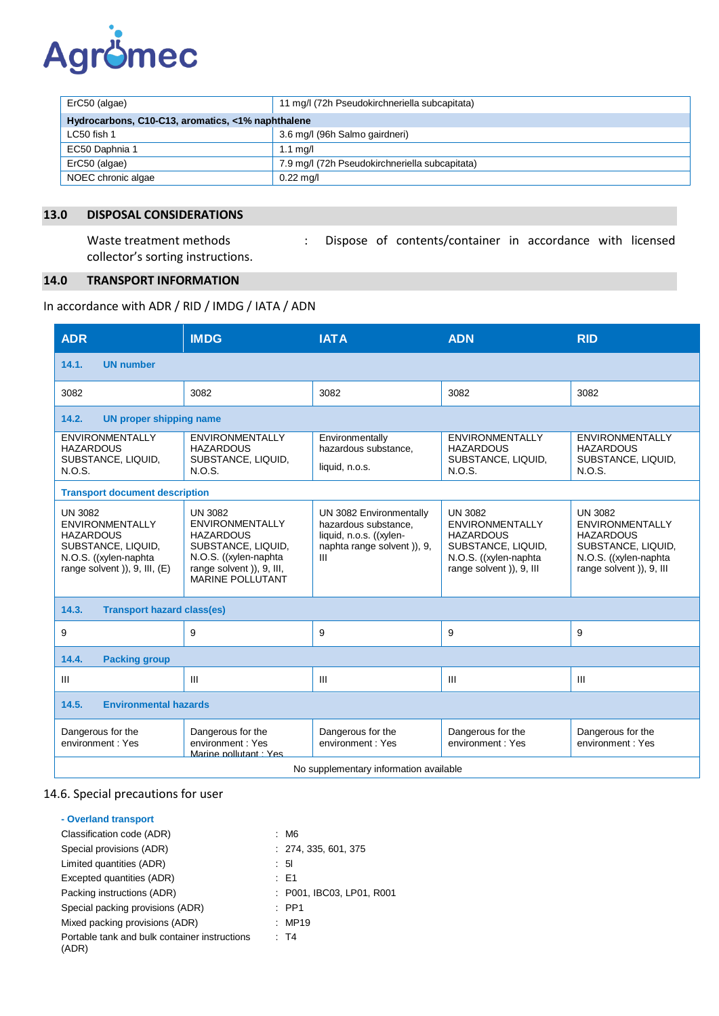

| ErC50 (algae)                                     | 11 mg/l (72h Pseudokirchneriella subcapitata)  |  |
|---------------------------------------------------|------------------------------------------------|--|
| Hydrocarbons, C10-C13, aromatics, <1% naphthalene |                                                |  |
| LC50 fish 1                                       | 3.6 mg/l (96h Salmo gairdneri)                 |  |
| EC50 Daphnia 1                                    | $1.1 \text{ ma/l}$                             |  |
| ErC50 (algae)                                     | 7.9 mg/l (72h Pseudokirchneriella subcapitata) |  |
| NOEC chronic algae                                | $0.22$ mg/l                                    |  |

## **13.0 DISPOSAL CONSIDERATIONS**

collector's sorting instructions.

Waste treatment methods : Dispose of contents/container in accordance with licensed

### **14.0 TRANSPORT INFORMATION**

In accordance with ADR / RID / IMDG / IATA / ADN

| <b>ADR</b>                                                                                                                                       | <b>IMDG</b>                                                                                                                                                          | <b>IATA</b>                                                                                                   | <b>ADN</b>                                                                                                                              | <b>RID</b>                                                                                                                              |
|--------------------------------------------------------------------------------------------------------------------------------------------------|----------------------------------------------------------------------------------------------------------------------------------------------------------------------|---------------------------------------------------------------------------------------------------------------|-----------------------------------------------------------------------------------------------------------------------------------------|-----------------------------------------------------------------------------------------------------------------------------------------|
| 14.1.<br><b>UN number</b>                                                                                                                        |                                                                                                                                                                      |                                                                                                               |                                                                                                                                         |                                                                                                                                         |
| 3082                                                                                                                                             | 3082                                                                                                                                                                 | 3082                                                                                                          | 3082                                                                                                                                    | 3082                                                                                                                                    |
| 14.2.<br><b>UN proper shipping name</b>                                                                                                          |                                                                                                                                                                      |                                                                                                               |                                                                                                                                         |                                                                                                                                         |
| <b>ENVIRONMENTALLY</b><br><b>HAZARDOUS</b><br>SUBSTANCE, LIQUID,<br>N.O.S.                                                                       | <b>ENVIRONMENTALLY</b><br><b>HAZARDOUS</b><br>SUBSTANCE, LIQUID,<br>N.O.S.                                                                                           | Environmentally<br>hazardous substance.<br>liquid, n.o.s.                                                     | <b>ENVIRONMENTALLY</b><br><b>HAZARDOUS</b><br>SUBSTANCE, LIQUID,<br>N.O.S.                                                              | <b>ENVIRONMENTALLY</b><br><b>HAZARDOUS</b><br>SUBSTANCE, LIQUID,<br>N.O.S.                                                              |
| <b>Transport document description</b>                                                                                                            |                                                                                                                                                                      |                                                                                                               |                                                                                                                                         |                                                                                                                                         |
| <b>UN 3082</b><br><b>ENVIRONMENTALLY</b><br><b>HAZARDOUS</b><br>SUBSTANCE, LIQUID,<br>N.O.S. ((xylen-naphta<br>range solvent $)$ , 9, III, $(E)$ | <b>UN 3082</b><br><b>ENVIRONMENTALLY</b><br><b>HAZARDOUS</b><br>SUBSTANCE, LIQUID,<br>N.O.S. ((xylen-naphta)<br>range solvent )), 9, III,<br><b>MARINE POLLUTANT</b> | UN 3082 Environmentally<br>hazardous substance,<br>liquid, n.o.s. ((xylen-<br>naphta range solvent)), 9,<br>Ш | <b>UN 3082</b><br><b>ENVIRONMENTALLY</b><br><b>HAZARDOUS</b><br>SUBSTANCE, LIQUID,<br>N.O.S. ((xylen-naphta<br>range solvent )), 9, III | <b>UN 3082</b><br><b>ENVIRONMENTALLY</b><br><b>HAZARDOUS</b><br>SUBSTANCE, LIQUID,<br>N.O.S. ((xylen-naphta<br>range solvent )), 9, III |
| 14.3.<br><b>Transport hazard class(es)</b>                                                                                                       |                                                                                                                                                                      |                                                                                                               |                                                                                                                                         |                                                                                                                                         |
| 9                                                                                                                                                | 9                                                                                                                                                                    | 9                                                                                                             | 9                                                                                                                                       | 9                                                                                                                                       |
| 14.4.<br><b>Packing group</b>                                                                                                                    |                                                                                                                                                                      |                                                                                                               |                                                                                                                                         |                                                                                                                                         |
| $\mathbf{III}$                                                                                                                                   | III                                                                                                                                                                  | $\mathbf{H}$                                                                                                  | III                                                                                                                                     | $\mathbf{III}$                                                                                                                          |
| 14.5.<br><b>Environmental hazards</b>                                                                                                            |                                                                                                                                                                      |                                                                                                               |                                                                                                                                         |                                                                                                                                         |
| Dangerous for the<br>environment: Yes                                                                                                            | Dangerous for the<br>environment: Yes<br>Marine pollutant · Yes                                                                                                      | Dangerous for the<br>environment: Yes                                                                         | Dangerous for the<br>environment: Yes                                                                                                   | Dangerous for the<br>environment: Yes                                                                                                   |
| No supplementary information available                                                                                                           |                                                                                                                                                                      |                                                                                                               |                                                                                                                                         |                                                                                                                                         |

## 14.6. Special precautions for user

| - Overland transport                                   |                           |
|--------------------------------------------------------|---------------------------|
| Classification code (ADR)                              | : M6                      |
| Special provisions (ADR)                               | : 274, 335, 601, 375      |
| Limited quantities (ADR)                               | $\therefore$ 51           |
| Excepted quantities (ADR)                              | : E1                      |
| Packing instructions (ADR)                             | : P001, IBC03, LP01, R001 |
| Special packing provisions (ADR)                       | $\therefore$ PP1          |
| Mixed packing provisions (ADR)                         | : MP19                    |
| Portable tank and bulk container instructions<br>(ADR) | : T4                      |